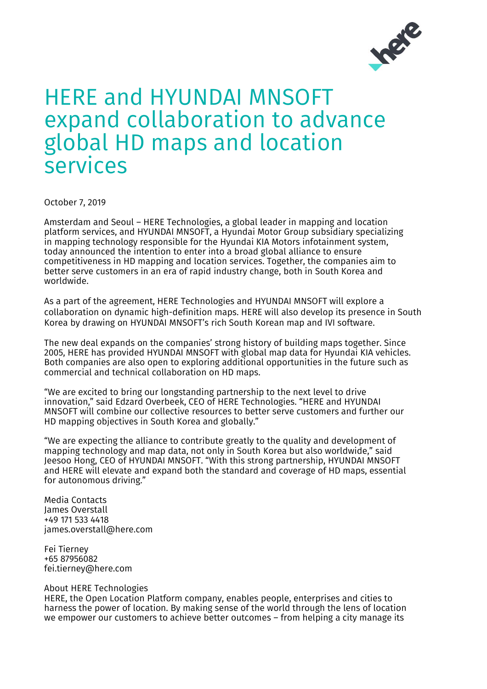

## HERE and HYUNDAI MNSOFT expand collaboration to advance global HD maps and location services

October 7, 2019

Amsterdam and Seoul – HERE Technologies, a global leader in mapping and location platform services, and HYUNDAI MNSOFT, a Hyundai Motor Group subsidiary specializing in mapping technology responsible for the Hyundai KIA Motors infotainment system, today announced the intention to enter into a broad global alliance to ensure competitiveness in HD mapping and location services. Together, the companies aim to better serve customers in an era of rapid industry change, both in South Korea and worldwide.

As a part of the agreement, HERE Technologies and HYUNDAI MNSOFT will explore a collaboration on dynamic high-definition maps. HERE will also develop its presence in South Korea by drawing on HYUNDAI MNSOFT's rich South Korean map and IVI software.

The new deal expands on the companies' strong history of building maps together. Since 2005, HERE has provided HYUNDAI MNSOFT with global map data for Hyundai KIA vehicles. Both companies are also open to exploring additional opportunities in the future such as commercial and technical collaboration on HD maps.

"We are excited to bring our longstanding partnership to the next level to drive innovation," said Edzard Overbeek, CEO of HERE Technologies. "HERE and HYUNDAI MNSOFT will combine our collective resources to better serve customers and further our HD mapping objectives in South Korea and globally."

"We are expecting the alliance to contribute greatly to the quality and development of mapping technology and map data, not only in South Korea but also worldwide," said Jeesoo Hong, CEO of HYUNDAI MNSOFT. "With this strong partnership, HYUNDAI MNSOFT and HERE will elevate and expand both the standard and coverage of HD maps, essential for autonomous driving."

Media Contacts James Overstall +49 171 533 4418 james.overstall@here.com

Fei Tierney +65 87956082 fei.tierney@here.com

## About HERE Technologies

HERE, the Open Location Platform company, enables people, enterprises and cities to harness the power of location. By making sense of the world through the lens of location we empower our customers to achieve better outcomes – from helping a city manage its